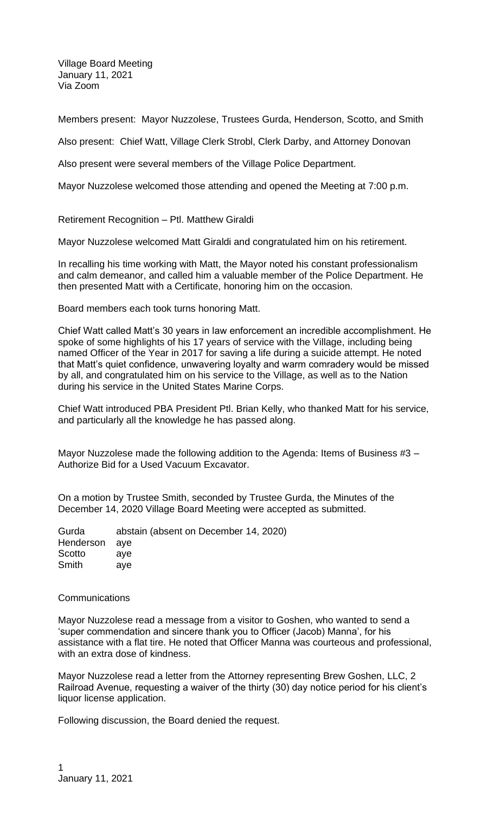Village Board Meeting January 11, 2021 Via Zoom

Members present: Mayor Nuzzolese, Trustees Gurda, Henderson, Scotto, and Smith

Also present: Chief Watt, Village Clerk Strobl, Clerk Darby, and Attorney Donovan

Also present were several members of the Village Police Department.

Mayor Nuzzolese welcomed those attending and opened the Meeting at 7:00 p.m.

Retirement Recognition – Ptl. Matthew Giraldi

Mayor Nuzzolese welcomed Matt Giraldi and congratulated him on his retirement.

In recalling his time working with Matt, the Mayor noted his constant professionalism and calm demeanor, and called him a valuable member of the Police Department. He then presented Matt with a Certificate, honoring him on the occasion.

Board members each took turns honoring Matt.

Chief Watt called Matt's 30 years in law enforcement an incredible accomplishment. He spoke of some highlights of his 17 years of service with the Village, including being named Officer of the Year in 2017 for saving a life during a suicide attempt. He noted that Matt's quiet confidence, unwavering loyalty and warm comradery would be missed by all, and congratulated him on his service to the Village, as well as to the Nation during his service in the United States Marine Corps.

Chief Watt introduced PBA President Ptl. Brian Kelly, who thanked Matt for his service, and particularly all the knowledge he has passed along.

Mayor Nuzzolese made the following addition to the Agenda: Items of Business #3 – Authorize Bid for a Used Vacuum Excavator.

On a motion by Trustee Smith, seconded by Trustee Gurda, the Minutes of the December 14, 2020 Village Board Meeting were accepted as submitted.

| Gurda         | abstain (absent on December 14, 2020) |
|---------------|---------------------------------------|
| Henderson aye |                                       |
| Scotto        | ave                                   |
| Smith         | ave                                   |

## **Communications**

Mayor Nuzzolese read a message from a visitor to Goshen, who wanted to send a 'super commendation and sincere thank you to Officer (Jacob) Manna', for his assistance with a flat tire. He noted that Officer Manna was courteous and professional, with an extra dose of kindness.

Mayor Nuzzolese read a letter from the Attorney representing Brew Goshen, LLC, 2 Railroad Avenue, requesting a waiver of the thirty (30) day notice period for his client's liquor license application.

Following discussion, the Board denied the request.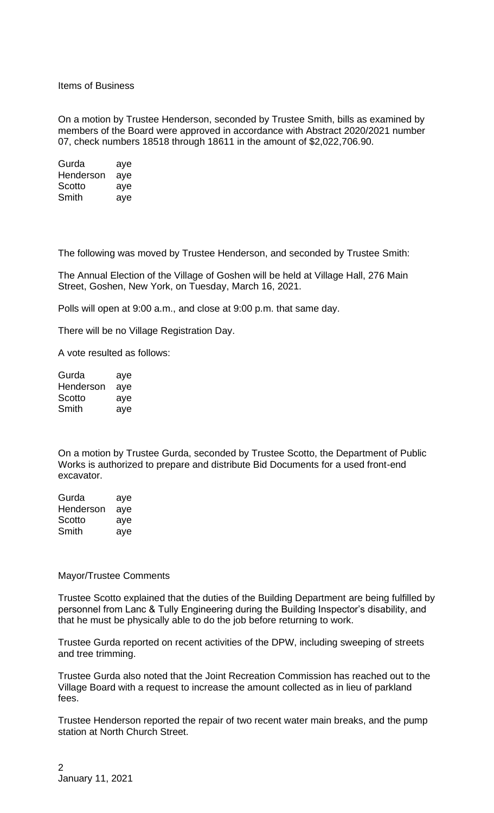Items of Business

On a motion by Trustee Henderson, seconded by Trustee Smith, bills as examined by members of the Board were approved in accordance with Abstract 2020/2021 number 07, check numbers 18518 through 18611 in the amount of \$2,022,706.90.

Gurda aye Henderson aye Scotto aye Smith aye

The following was moved by Trustee Henderson, and seconded by Trustee Smith:

The Annual Election of the Village of Goshen will be held at Village Hall, 276 Main Street, Goshen, New York, on Tuesday, March 16, 2021.

Polls will open at 9:00 a.m., and close at 9:00 p.m. that same day.

There will be no Village Registration Day.

A vote resulted as follows:

| Gurda     | aye |
|-----------|-----|
| Henderson | aye |
| Scotto    | aye |
| Smith     | aye |

On a motion by Trustee Gurda, seconded by Trustee Scotto, the Department of Public Works is authorized to prepare and distribute Bid Documents for a used front-end excavator.

Gurda aye Henderson aye Scotto aye Smith aye

## Mayor/Trustee Comments

Trustee Scotto explained that the duties of the Building Department are being fulfilled by personnel from Lanc & Tully Engineering during the Building Inspector's disability, and that he must be physically able to do the job before returning to work.

Trustee Gurda reported on recent activities of the DPW, including sweeping of streets and tree trimming.

Trustee Gurda also noted that the Joint Recreation Commission has reached out to the Village Board with a request to increase the amount collected as in lieu of parkland fees.

Trustee Henderson reported the repair of two recent water main breaks, and the pump station at North Church Street.